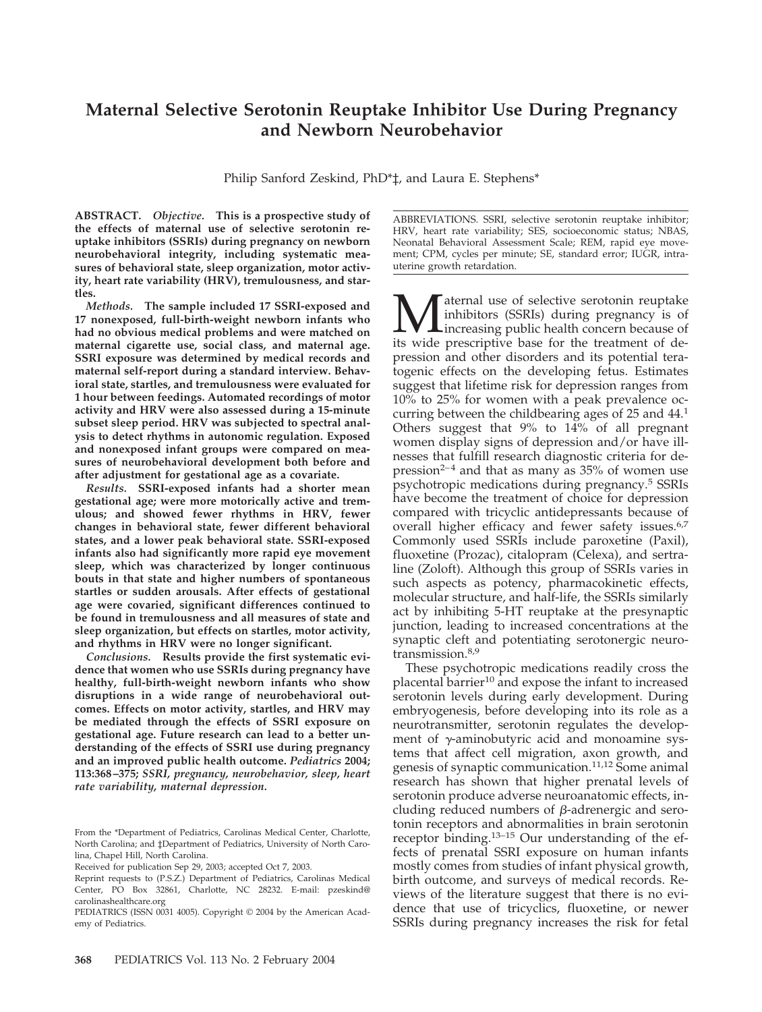# **Maternal Selective Serotonin Reuptake Inhibitor Use During Pregnancy and Newborn Neurobehavior**

Philip Sanford Zeskind, PhD\*‡, and Laura E. Stephens\*

**ABSTRACT.** *Objective.* **This is a prospective study of the effects of maternal use of selective serotonin reuptake inhibitors (SSRIs) during pregnancy on newborn neurobehavioral integrity, including systematic measures of behavioral state, sleep organization, motor activity, heart rate variability (HRV), tremulousness, and startles.**

*Methods.* **The sample included 17 SSRI-exposed and 17 nonexposed, full-birth-weight newborn infants who had no obvious medical problems and were matched on maternal cigarette use, social class, and maternal age. SSRI exposure was determined by medical records and maternal self-report during a standard interview. Behavioral state, startles, and tremulousness were evaluated for 1 hour between feedings. Automated recordings of motor activity and HRV were also assessed during a 15-minute subset sleep period. HRV was subjected to spectral analysis to detect rhythms in autonomic regulation. Exposed and nonexposed infant groups were compared on measures of neurobehavioral development both before and after adjustment for gestational age as a covariate.**

*Results.* **SSRI-exposed infants had a shorter mean gestational age; were more motorically active and tremulous; and showed fewer rhythms in HRV, fewer changes in behavioral state, fewer different behavioral states, and a lower peak behavioral state. SSRI-exposed infants also had significantly more rapid eye movement sleep, which was characterized by longer continuous bouts in that state and higher numbers of spontaneous startles or sudden arousals. After effects of gestational age were covaried, significant differences continued to be found in tremulousness and all measures of state and sleep organization, but effects on startles, motor activity, and rhythms in HRV were no longer significant.**

*Conclusions.* **Results provide the first systematic evidence that women who use SSRIs during pregnancy have healthy, full-birth-weight newborn infants who show disruptions in a wide range of neurobehavioral outcomes. Effects on motor activity, startles, and HRV may be mediated through the effects of SSRI exposure on gestational age. Future research can lead to a better understanding of the effects of SSRI use during pregnancy and an improved public health outcome.** *Pediatrics* **2004; 113:368–375;** *SSRI, pregnancy, neurobehavior, sleep, heart rate variability, maternal depression.*

ABBREVIATIONS. SSRI, selective serotonin reuptake inhibitor; HRV, heart rate variability; SES, socioeconomic status; NBAS, Neonatal Behavioral Assessment Scale; REM, rapid eye movement; CPM, cycles per minute; SE, standard error; IUGR, intrauterine growth retardation.

**M** aternal use of selective serotonin reuptake<br>
inhibitors (SSRIs) during pregnancy is of<br>
its wide prescriptive base for the treatment of deinhibitors (SSRIs) during pregnancy is of increasing public health concern because of its wide prescriptive base for the treatment of depression and other disorders and its potential teratogenic effects on the developing fetus. Estimates suggest that lifetime risk for depression ranges from 10% to 25% for women with a peak prevalence occurring between the childbearing ages of 25 and 44.1 Others suggest that 9% to 14% of all pregnant women display signs of depression and/or have illnesses that fulfill research diagnostic criteria for de $presion<sup>2-4</sup>$  and that as many as 35% of women use psychotropic medications during pregnancy.5 SSRIs have become the treatment of choice for depression compared with tricyclic antidepressants because of overall higher efficacy and fewer safety issues.<sup>6,7</sup> Commonly used SSRIs include paroxetine (Paxil), fluoxetine (Prozac), citalopram (Celexa), and sertraline (Zoloft). Although this group of SSRIs varies in such aspects as potency, pharmacokinetic effects, molecular structure, and half-life, the SSRIs similarly act by inhibiting 5-HT reuptake at the presynaptic junction, leading to increased concentrations at the synaptic cleft and potentiating serotonergic neurotransmission.<sup>8,9</sup>

These psychotropic medications readily cross the placental barrier<sup>10</sup> and expose the infant to increased serotonin levels during early development. During embryogenesis, before developing into its role as a neurotransmitter, serotonin regulates the development of  $\gamma$ -aminobutyric acid and monoamine systems that affect cell migration, axon growth, and genesis of synaptic communication.<sup>11,12</sup> Some animal research has shown that higher prenatal levels of serotonin produce adverse neuroanatomic effects, including reduced numbers of  $\beta$ -adrenergic and serotonin receptors and abnormalities in brain serotonin receptor binding.13–15 Our understanding of the effects of prenatal SSRI exposure on human infants mostly comes from studies of infant physical growth, birth outcome, and surveys of medical records. Reviews of the literature suggest that there is no evidence that use of tricyclics, fluoxetine, or newer SSRIs during pregnancy increases the risk for fetal

From the \*Department of Pediatrics, Carolinas Medical Center, Charlotte, North Carolina; and ‡Department of Pediatrics, University of North Carolina, Chapel Hill, North Carolina.

Received for publication Sep 29, 2003; accepted Oct 7, 2003.

Reprint requests to (P.S.Z.) Department of Pediatrics, Carolinas Medical Center, PO Box 32861, Charlotte, NC 28232. E-mail: pzeskind@ carolinashealthcare.org

PEDIATRICS (ISSN 0031 4005). Copyright © 2004 by the American Academy of Pediatrics.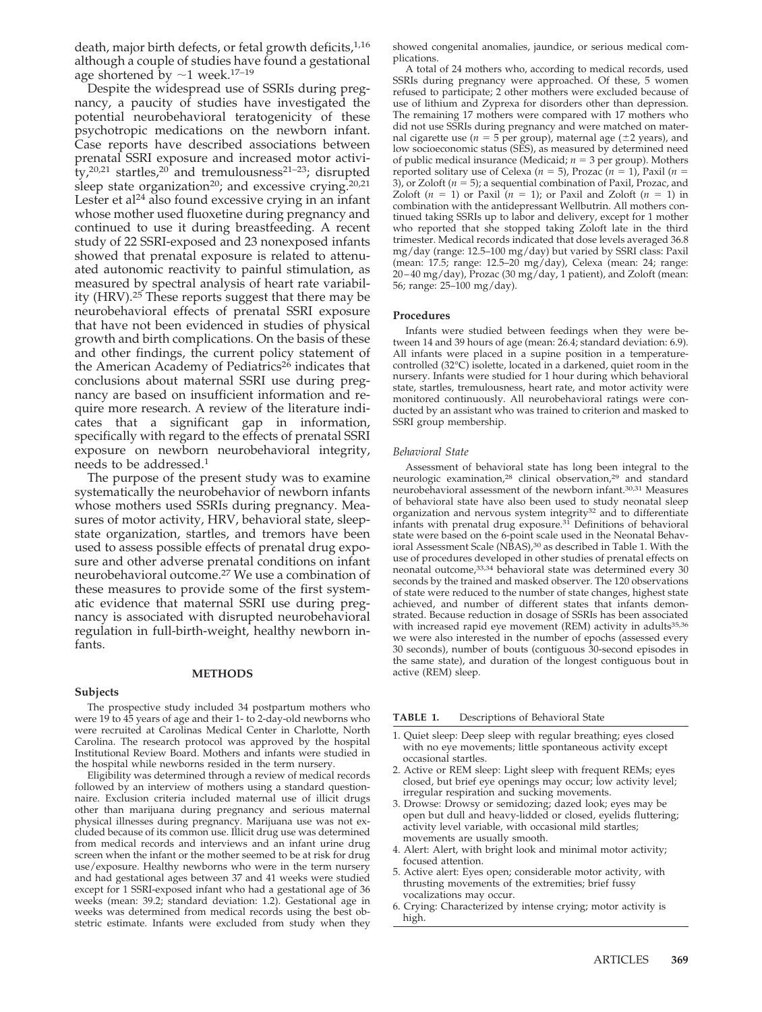death, major birth defects, or fetal growth deficits,  $1,16$ although a couple of studies have found a gestational age shortened by  $\sim$  1 week.<sup>17-19</sup>

Despite the widespread use of SSRIs during pregnancy, a paucity of studies have investigated the potential neurobehavioral teratogenicity of these psychotropic medications on the newborn infant. Case reports have described associations between prenatal SSRI exposure and increased motor activi- $_{\rm tv}^{1}$ , 20,21 startles,<sup>20</sup> and tremulousness<sup>21-23</sup>; disrupted sleep state organization<sup>20</sup>; and excessive crying.<sup>20,21</sup> Lester et al<sup>24</sup> also found excessive crying in an infant whose mother used fluoxetine during pregnancy and continued to use it during breastfeeding. A recent study of 22 SSRI-exposed and 23 nonexposed infants showed that prenatal exposure is related to attenuated autonomic reactivity to painful stimulation, as measured by spectral analysis of heart rate variability (HRV).25 These reports suggest that there may be neurobehavioral effects of prenatal SSRI exposure that have not been evidenced in studies of physical growth and birth complications. On the basis of these and other findings, the current policy statement of the American Academy of Pediatrics<sup>26</sup> indicates that conclusions about maternal SSRI use during pregnancy are based on insufficient information and require more research. A review of the literature indicates that a significant gap in information, specifically with regard to the effects of prenatal SSRI exposure on newborn neurobehavioral integrity, needs to be addressed.1

The purpose of the present study was to examine systematically the neurobehavior of newborn infants whose mothers used SSRIs during pregnancy. Measures of motor activity, HRV, behavioral state, sleepstate organization, startles, and tremors have been used to assess possible effects of prenatal drug exposure and other adverse prenatal conditions on infant neurobehavioral outcome.27 We use a combination of these measures to provide some of the first systematic evidence that maternal SSRI use during pregnancy is associated with disrupted neurobehavioral regulation in full-birth-weight, healthy newborn infants.

# **Subjects**

# **METHODS**

The prospective study included 34 postpartum mothers who were 19 to 45 years of age and their 1- to 2-day-old newborns who were recruited at Carolinas Medical Center in Charlotte, North Carolina. The research protocol was approved by the hospital Institutional Review Board. Mothers and infants were studied in the hospital while newborns resided in the term nursery.

Eligibility was determined through a review of medical records followed by an interview of mothers using a standard questionnaire. Exclusion criteria included maternal use of illicit drugs other than marijuana during pregnancy and serious maternal physical illnesses during pregnancy. Marijuana use was not excluded because of its common use. Illicit drug use was determined from medical records and interviews and an infant urine drug screen when the infant or the mother seemed to be at risk for drug use/exposure. Healthy newborns who were in the term nursery and had gestational ages between 37 and 41 weeks were studied except for 1 SSRI-exposed infant who had a gestational age of 36 weeks (mean: 39.2; standard deviation: 1.2). Gestational age in weeks was determined from medical records using the best obstetric estimate. Infants were excluded from study when they

showed congenital anomalies, jaundice, or serious medical complications.

A total of 24 mothers who, according to medical records, used SSRIs during pregnancy were approached. Of these, 5 women refused to participate; 2 other mothers were excluded because of use of lithium and Zyprexa for disorders other than depression. The remaining 17 mothers were compared with 17 mothers who did not use SSRIs during pregnancy and were matched on maternal cigarette use  $(n = 5$  per group), maternal age  $(\pm 2$  years), and low socioeconomic status (SES), as measured by determined need of public medical insurance (Medicaid;  $n = 3$  per group). Mothers reported solitary use of Celexa ( $n = 5$ ), Prozac ( $n = 1$ ), Paxil ( $n =$ 3), or Zoloft  $(n = 5)$ ; a sequential combination of Paxil, Prozac, and Zoloft  $(n = 1)$  or Paxil  $(n = 1)$ ; or Paxil and Zoloft  $(n = 1)$  in combination with the antidepressant Wellbutrin. All mothers continued taking SSRIs up to labor and delivery, except for 1 mother who reported that she stopped taking Zoloft late in the third trimester. Medical records indicated that dose levels averaged 36.8 mg/day (range: 12.5–100 mg/day) but varied by SSRI class: Paxil (mean: 17.5; range: 12.5–20 mg/day), Celexa (mean: 24; range: 20–40 mg/day), Prozac (30 mg/day, 1 patient), and Zoloft (mean: 56; range: 25–100 mg/day).

# **Procedures**

Infants were studied between feedings when they were between 14 and 39 hours of age (mean: 26.4; standard deviation: 6.9). All infants were placed in a supine position in a temperaturecontrolled (32°C) isolette, located in a darkened, quiet room in the nursery. Infants were studied for 1 hour during which behavioral state, startles, tremulousness, heart rate, and motor activity were monitored continuously. All neurobehavioral ratings were conducted by an assistant who was trained to criterion and masked to SSRI group membership.

#### *Behavioral State*

Assessment of behavioral state has long been integral to the neurologic examination,<sup>28</sup> clinical observation,<sup>29</sup> and standard neurobehavioral assessment of the newborn infant.30,31 Measures of behavioral state have also been used to study neonatal sleep organization and nervous system integrity<sup>32</sup> and to differentiate infants with prenatal drug exposure. $3\overline{1}$  Definitions of behavioral state were based on the 6-point scale used in the Neonatal Behavioral Assessment Scale (NBAS),<sup>30</sup> as described in Table 1. With the use of procedures developed in other studies of prenatal effects on neonatal outcome,33,34 behavioral state was determined every 30 seconds by the trained and masked observer. The 120 observations of state were reduced to the number of state changes, highest state achieved, and number of different states that infants demonstrated. Because reduction in dosage of SSRIs has been associated with increased rapid eye movement (REM) activity in adults $35,36$ we were also interested in the number of epochs (assessed every 30 seconds), number of bouts (contiguous 30-second episodes in the same state), and duration of the longest contiguous bout in active (REM) sleep.

**TABLE 1.** Descriptions of Behavioral State

- 1. Quiet sleep: Deep sleep with regular breathing; eyes closed with no eye movements; little spontaneous activity except occasional startles.
- 2. Active or REM sleep: Light sleep with frequent REMs; eyes closed, but brief eye openings may occur; low activity level; irregular respiration and sucking movements.
- 3. Drowse: Drowsy or semidozing; dazed look; eyes may be open but dull and heavy-lidded or closed, eyelids fluttering; activity level variable, with occasional mild startles; movements are usually smooth.
- 4. Alert: Alert, with bright look and minimal motor activity; focused attention.
- 5. Active alert: Eyes open; considerable motor activity, with thrusting movements of the extremities; brief fussy vocalizations may occur.
- 6. Crying: Characterized by intense crying; motor activity is high.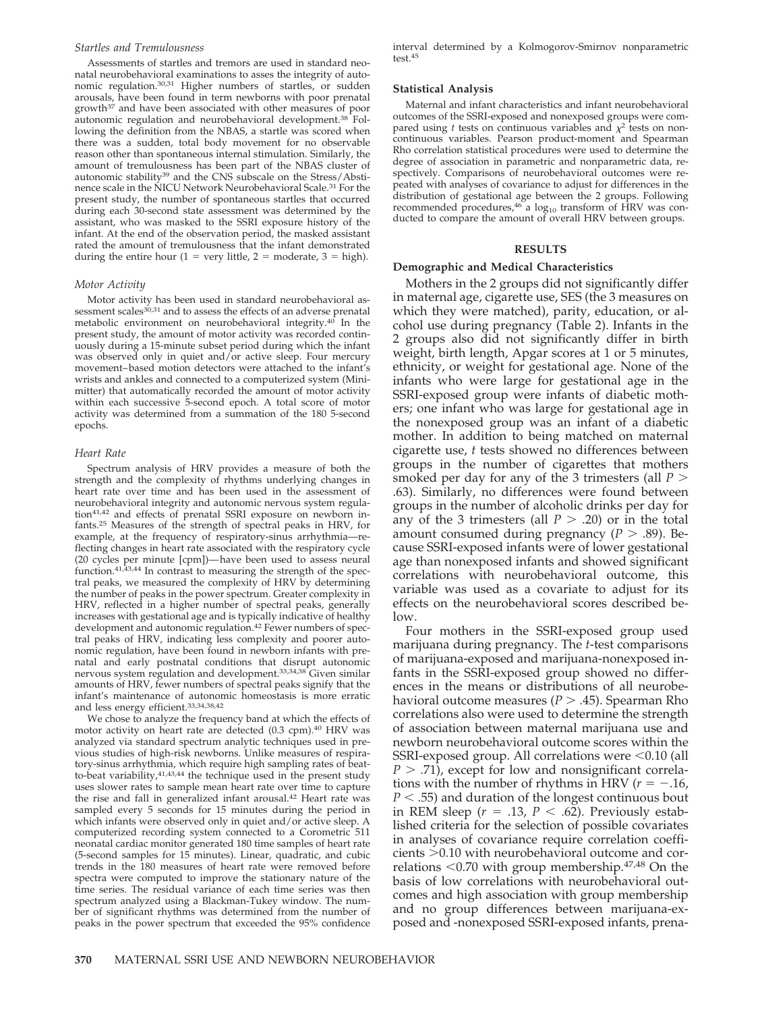#### *Startles and Tremulousness*

Assessments of startles and tremors are used in standard neonatal neurobehavioral examinations to asses the integrity of autonomic regulation.30,31 Higher numbers of startles, or sudden arousals, have been found in term newborns with poor prenatal growth37 and have been associated with other measures of poor autonomic regulation and neurobehavioral development.38 Following the definition from the NBAS, a startle was scored when there was a sudden, total body movement for no observable reason other than spontaneous internal stimulation. Similarly, the amount of tremulousness has been part of the NBAS cluster of autonomic stability39 and the CNS subscale on the Stress/Abstinence scale in the NICU Network Neurobehavioral Scale.31 For the present study, the number of spontaneous startles that occurred during each 30-second state assessment was determined by the assistant, who was masked to the SSRI exposure history of the infant. At the end of the observation period, the masked assistant rated the amount of tremulousness that the infant demonstrated during the entire hour  $(1 = \text{very little}, 2 = \text{moderate}, 3 = \text{high}).$ 

# *Motor Activity*

Motor activity has been used in standard neurobehavioral assessment scales<sup>30,31</sup> and to assess the effects of an adverse prenatal metabolic environment on neurobehavioral integrity.40 In the present study, the amount of motor activity was recorded continuously during a 15-minute subset period during which the infant was observed only in quiet and/or active sleep. Four mercury movement–based motion detectors were attached to the infant's wrists and ankles and connected to a computerized system (Minimitter) that automatically recorded the amount of motor activity within each successive 5-second epoch. A total score of motor activity was determined from a summation of the 180 5-second epochs.

## *Heart Rate*

Spectrum analysis of HRV provides a measure of both the strength and the complexity of rhythms underlying changes in heart rate over time and has been used in the assessment of neurobehavioral integrity and autonomic nervous system regulation41,42 and effects of prenatal SSRI exposure on newborn infants.25 Measures of the strength of spectral peaks in HRV, for example, at the frequency of respiratory-sinus arrhythmia—reflecting changes in heart rate associated with the respiratory cycle (20 cycles per minute [cpm])—have been used to assess neural function.<sup>41,43,44</sup> In contrast to measuring the strength of the spectral peaks, we measured the complexity of HRV by determining the number of peaks in the power spectrum. Greater complexity in HRV, reflected in a higher number of spectral peaks, generally increases with gestational age and is typically indicative of healthy development and autonomic regulation.<sup>42</sup> Fewer numbers of spectral peaks of HRV, indicating less complexity and poorer autonomic regulation, have been found in newborn infants with prenatal and early postnatal conditions that disrupt autonomic nervous system regulation and development.33,34,38 Given similar amounts of HRV, fewer numbers of spectral peaks signify that the infant's maintenance of autonomic homeostasis is more erratic and less energy efficient.33,34,38,42

We chose to analyze the frequency band at which the effects of motor activity on heart rate are detected (0.3 cpm).<sup>40</sup> HRV was analyzed via standard spectrum analytic techniques used in previous studies of high-risk newborns. Unlike measures of respiratory-sinus arrhythmia, which require high sampling rates of beatto-beat variability, $41,43,44$  the technique used in the present study uses slower rates to sample mean heart rate over time to capture the rise and fall in generalized infant arousal.42 Heart rate was sampled every 5 seconds for 15 minutes during the period in which infants were observed only in quiet and/or active sleep. A computerized recording system connected to a Corometric 511 neonatal cardiac monitor generated 180 time samples of heart rate (5-second samples for 15 minutes). Linear, quadratic, and cubic trends in the 180 measures of heart rate were removed before spectra were computed to improve the stationary nature of the time series. The residual variance of each time series was then spectrum analyzed using a Blackman-Tukey window. The number of significant rhythms was determined from the number of peaks in the power spectrum that exceeded the 95% confidence

interval determined by a Kolmogorov-Smirnov nonparametric test.<sup>45</sup>

#### **Statistical Analysis**

Maternal and infant characteristics and infant neurobehavioral outcomes of the SSRI-exposed and nonexposed groups were compared using *t* tests on continuous variables and  $\chi^2$  tests on noncontinuous variables. Pearson product-moment and Spearman Rho correlation statistical procedures were used to determine the degree of association in parametric and nonparametric data, respectively. Comparisons of neurobehavioral outcomes were repeated with analyses of covariance to adjust for differences in the distribution of gestational age between the 2 groups. Following recommended procedures,<sup>46</sup> a  $log_{10}$  transform of HRV was conducted to compare the amount of overall HRV between groups.

## **RESULTS**

#### **Demographic and Medical Characteristics**

Mothers in the 2 groups did not significantly differ in maternal age, cigarette use, SES (the 3 measures on which they were matched), parity, education, or alcohol use during pregnancy (Table 2). Infants in the 2 groups also did not significantly differ in birth weight, birth length, Apgar scores at 1 or 5 minutes, ethnicity, or weight for gestational age. None of the infants who were large for gestational age in the SSRI-exposed group were infants of diabetic mothers; one infant who was large for gestational age in the nonexposed group was an infant of a diabetic mother. In addition to being matched on maternal cigarette use, *t* tests showed no differences between groups in the number of cigarettes that mothers smoked per day for any of the 3 trimesters (all *P* .63). Similarly, no differences were found between groups in the number of alcoholic drinks per day for any of the 3 trimesters (all  $P > .20$ ) or in the total amount consumed during pregnancy ( $P > .89$ ). Because SSRI-exposed infants were of lower gestational age than nonexposed infants and showed significant correlations with neurobehavioral outcome, this variable was used as a covariate to adjust for its effects on the neurobehavioral scores described below.

Four mothers in the SSRI-exposed group used marijuana during pregnancy. The *t*-test comparisons of marijuana-exposed and marijuana-nonexposed infants in the SSRI-exposed group showed no differences in the means or distributions of all neurobehavioral outcome measures ( $P > .45$ ). Spearman Rho correlations also were used to determine the strength of association between maternal marijuana use and newborn neurobehavioral outcome scores within the SSRI-exposed group. All correlations were  $\leq 0.10$  (all  $P > .71$ ), except for low and nonsignificant correlations with the number of rhythms in HRV  $(r = -.16)$ , *P* .55) and duration of the longest continuous bout in REM sleep ( $r = .13$ ,  $P < .62$ ). Previously established criteria for the selection of possible covariates in analyses of covariance require correlation coeffi $cients$   $>0.10$  with neurobehavioral outcome and correlations  $< 0.70$  with group membership. $47,48$  On the basis of low correlations with neurobehavioral outcomes and high association with group membership and no group differences between marijuana-exposed and -nonexposed SSRI-exposed infants, prena-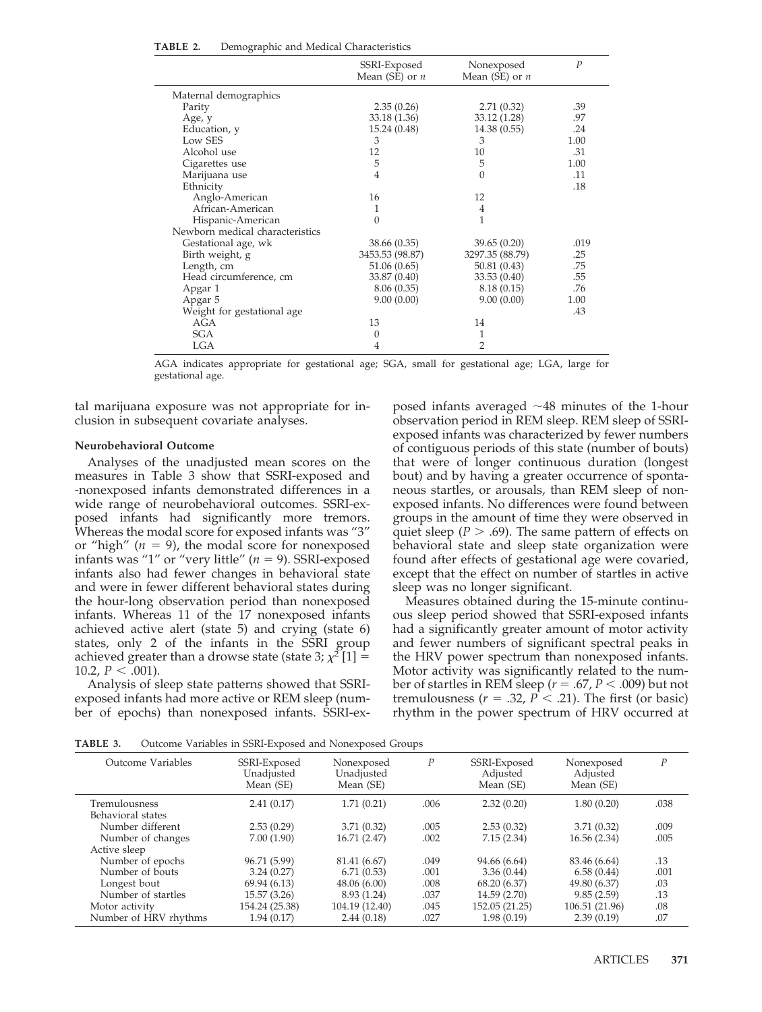|                                 | SSRI-Exposed<br>Mean (SE) or $n$ | Nonexposed<br>Mean (SE) or $n$ | $\overline{P}$ |
|---------------------------------|----------------------------------|--------------------------------|----------------|
| Maternal demographics           |                                  |                                |                |
| Parity                          | 2.35(0.26)                       | 2.71(0.32)                     | .39            |
| Age, y                          | 33.18 (1.36)                     | 33.12 (1.28)                   | .97            |
| Education, y                    | 15.24 (0.48)                     | 14.38 (0.55)                   | .24            |
| Low SES                         | 3                                | 3                              | 1.00           |
| Alcohol use                     | 12                               | 10                             | .31            |
| Cigarettes use                  | 5                                | 5                              | 1.00           |
| Marijuana use                   | $\overline{4}$                   | $\theta$                       | .11            |
| Ethnicity                       |                                  |                                | .18            |
| Anglo-American                  | 16                               | 12                             |                |
| African-American                | 1                                | 4                              |                |
| Hispanic-American               | $\theta$                         | 1                              |                |
| Newborn medical characteristics |                                  |                                |                |
| Gestational age, wk             | 38.66 (0.35)                     | 39.65(0.20)                    | .019           |
| Birth weight, g                 | 3453.53 (98.87)                  | 3297.35 (88.79)                | .25            |
| Length, cm                      | 51.06(0.65)                      | 50.81(0.43)                    | .75            |
| Head circumference, cm          | 33.87 (0.40)                     | 33.53 (0.40)                   | .55            |
| Apgar 1                         | 8.06(0.35)                       | 8.18 (0.15)                    | .76            |
| Apgar 5                         | 9.00(0.00)                       | 9.00(0.00)                     | 1.00           |
| Weight for gestational age      |                                  |                                | .43            |
| AGA                             | 13                               | 14                             |                |
| <b>SGA</b>                      | 0                                | 1                              |                |
| <b>LGA</b>                      | 4                                | $\overline{2}$                 |                |

| TABLE 2. |  |  | Demographic and Medical Characteristics |
|----------|--|--|-----------------------------------------|
|----------|--|--|-----------------------------------------|

AGA indicates appropriate for gestational age; SGA, small for gestational age; LGA, large for gestational age.

tal marijuana exposure was not appropriate for inclusion in subsequent covariate analyses.

# **Neurobehavioral Outcome**

Analyses of the unadjusted mean scores on the measures in Table 3 show that SSRI-exposed and -nonexposed infants demonstrated differences in a wide range of neurobehavioral outcomes. SSRI-exposed infants had significantly more tremors. Whereas the modal score for exposed infants was "3" or "high"  $(n = 9)$ , the modal score for nonexposed infants was " $1$ " or "very little" ( $n = 9$ ). SSRI-exposed infants also had fewer changes in behavioral state and were in fewer different behavioral states during the hour-long observation period than nonexposed infants. Whereas 11 of the 17 nonexposed infants achieved active alert (state 5) and crying (state 6) states, only 2 of the infants in the SSRI group achieved greater than a drowse state (state 3;  $\chi^2[1] =$ 10.2,  $P < .001$ ).

Analysis of sleep state patterns showed that SSRIexposed infants had more active or REM sleep (number of epochs) than nonexposed infants. SSRI-exposed infants averaged  $\sim$ 48 minutes of the 1-hour observation period in REM sleep. REM sleep of SSRIexposed infants was characterized by fewer numbers of contiguous periods of this state (number of bouts) that were of longer continuous duration (longest bout) and by having a greater occurrence of spontaneous startles, or arousals, than REM sleep of nonexposed infants. No differences were found between groups in the amount of time they were observed in quiet sleep ( $P > .69$ ). The same pattern of effects on behavioral state and sleep state organization were found after effects of gestational age were covaried, except that the effect on number of startles in active sleep was no longer significant.

Measures obtained during the 15-minute continuous sleep period showed that SSRI-exposed infants had a significantly greater amount of motor activity and fewer numbers of significant spectral peaks in the HRV power spectrum than nonexposed infants. Motor activity was significantly related to the number of startles in REM sleep ( $r = .67$ ,  $P < .009$ ) but not tremulousness ( $r = .32$ ,  $P < .21$ ). The first (or basic) rhythm in the power spectrum of HRV occurred at

**TABLE 3.** Outcome Variables in SSRI-Exposed and Nonexposed Groups

| calcome value les m'esta lixe oben una l'ionexe oben clience |                                       |      |                                       |                                     |                  |  |  |  |
|--------------------------------------------------------------|---------------------------------------|------|---------------------------------------|-------------------------------------|------------------|--|--|--|
| SSRI-Exposed<br>Unadjusted<br>Mean (SE)                      | Nonexposed<br>Unadjusted<br>Mean (SE) | Р    | SSRI-Exposed<br>Adjusted<br>Mean (SE) | Nonexposed<br>Adjusted<br>Mean (SE) | $\boldsymbol{P}$ |  |  |  |
| 2.41(0.17)                                                   | 1.71(0.21)                            | .006 | 2.32(0.20)                            | 1.80(0.20)                          | .038             |  |  |  |
|                                                              |                                       |      |                                       |                                     |                  |  |  |  |
| 2.53(0.29)                                                   | 3.71(0.32)                            | .005 | 2.53(0.32)                            | 3.71(0.32)                          | .009             |  |  |  |
| 7.00(1.90)                                                   | 16.71 (2.47)                          | .002 | 7.15(2.34)                            | 16.56 (2.34)                        | .005             |  |  |  |
|                                                              |                                       |      |                                       |                                     |                  |  |  |  |
| 96.71 (5.99)                                                 | 81.41 (6.67)                          | .049 | 94.66 (6.64)                          | 83.46 (6.64)                        | .13              |  |  |  |
| 3.24(0.27)                                                   | 6.71(0.53)                            | .001 | 3.36(0.44)                            | 6.58(0.44)                          | .001             |  |  |  |
| 69.94 (6.13)                                                 | 48.06 (6.00)                          | .008 | 68.20 (6.37)                          | 49.80 (6.37)                        | .03              |  |  |  |
| 15.57 (3.26)                                                 | 8.93 (1.24)                           | .037 | 14.59 (2.70)                          | 9.85(2.59)                          | .13              |  |  |  |
| 154.24 (25.38)                                               | 104.19 (12.40)                        | .045 | 152.05 (21.25)                        | 106.51 (21.96)                      | .08              |  |  |  |
| 1.94 (0.17)                                                  | 2.44(0.18)                            | .027 | 1.98(0.19)                            | 2.39(0.19)                          | .07              |  |  |  |
|                                                              |                                       |      |                                       |                                     |                  |  |  |  |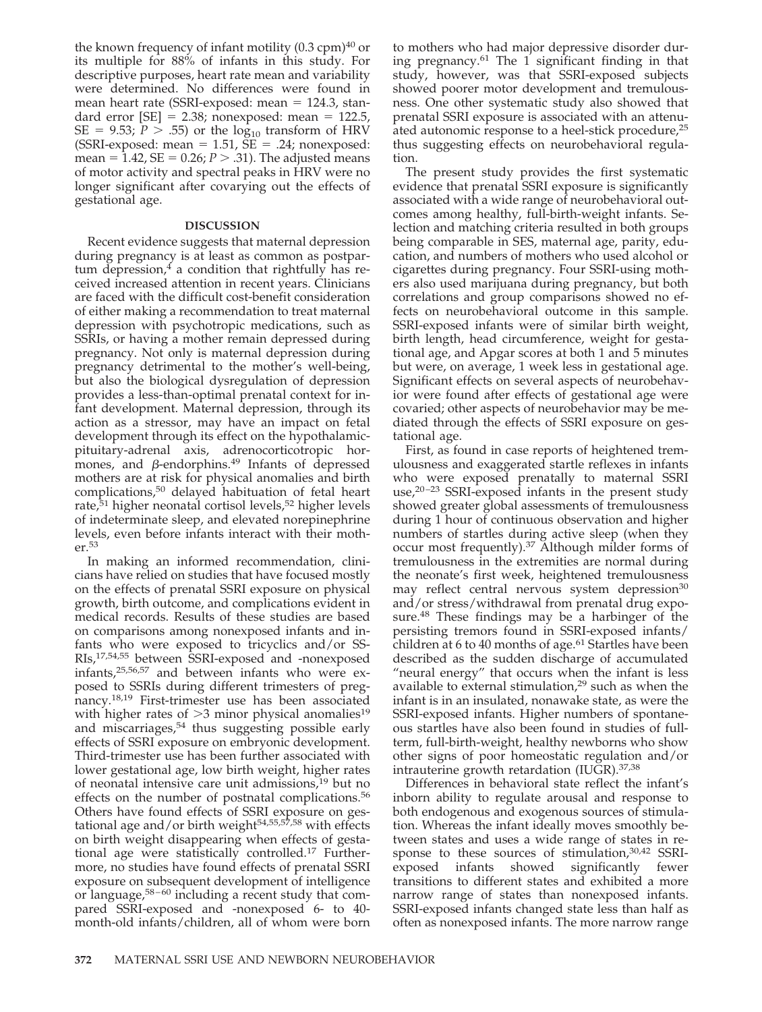the known frequency of infant motility  $(0.3 \text{ cm})^{40}$  or its multiple for 88% of infants in this study. For descriptive purposes, heart rate mean and variability were determined. No differences were found in mean heart rate (SSRI-exposed: mean = 124.3, standard error  $[SE] = 2.38$ ; nonexposed: mean = 122.5,  $SE = 9.53; P > .55$ ) or the  $log_{10}$  transform of HRV  $(SSRI-exposed: mean = 1.51, SE = .24; nonexposed:$ mean =  $1.42$ , SE =  $0.26; P > .31$ ). The adjusted means of motor activity and spectral peaks in HRV were no longer significant after covarying out the effects of gestational age.

# **DISCUSSION**

Recent evidence suggests that maternal depression during pregnancy is at least as common as postpartum depression, $4$  a condition that rightfully has received increased attention in recent years. Clinicians are faced with the difficult cost-benefit consideration of either making a recommendation to treat maternal depression with psychotropic medications, such as SSRIs, or having a mother remain depressed during pregnancy. Not only is maternal depression during pregnancy detrimental to the mother's well-being, but also the biological dysregulation of depression provides a less-than-optimal prenatal context for infant development. Maternal depression, through its action as a stressor, may have an impact on fetal development through its effect on the hypothalamicpituitary-adrenal axis, adrenocorticotropic hormones, and  $\beta$ -endorphins.<sup>49</sup> Infants of depressed mothers are at risk for physical anomalies and birth complications,50 delayed habituation of fetal heart rate, $51$  higher neonatal cortisol levels,  $52$  higher levels of indeterminate sleep, and elevated norepinephrine levels, even before infants interact with their mother.53

In making an informed recommendation, clinicians have relied on studies that have focused mostly on the effects of prenatal SSRI exposure on physical growth, birth outcome, and complications evident in medical records. Results of these studies are based on comparisons among nonexposed infants and infants who were exposed to tricyclics and/or SS-RIs,17,54,55 between SSRI-exposed and -nonexposed infants,25,56,57 and between infants who were exposed to SSRIs during different trimesters of pregnancy.18,19 First-trimester use has been associated with higher rates of  $>3$  minor physical anomalies<sup>19</sup> and miscarriages,<sup>54</sup> thus suggesting possible early effects of SSRI exposure on embryonic development. Third-trimester use has been further associated with lower gestational age, low birth weight, higher rates of neonatal intensive care unit admissions,19 but no effects on the number of postnatal complications.<sup>56</sup> Others have found effects of SSRI exposure on gestational age and/or birth weight $54,55,57,58$  with effects on birth weight disappearing when effects of gestational age were statistically controlled.17 Furthermore, no studies have found effects of prenatal SSRI exposure on subsequent development of intelligence or language, $58-60$  including a recent study that compared SSRI-exposed and -nonexposed 6- to 40 month-old infants/children, all of whom were born

to mothers who had major depressive disorder during pregnancy.61 The 1 significant finding in that study, however, was that SSRI-exposed subjects showed poorer motor development and tremulousness. One other systematic study also showed that prenatal SSRI exposure is associated with an attenuated autonomic response to a heel-stick procedure,<sup>25</sup> thus suggesting effects on neurobehavioral regulation.

The present study provides the first systematic evidence that prenatal SSRI exposure is significantly associated with a wide range of neurobehavioral outcomes among healthy, full-birth-weight infants. Selection and matching criteria resulted in both groups being comparable in SES, maternal age, parity, education, and numbers of mothers who used alcohol or cigarettes during pregnancy. Four SSRI-using mothers also used marijuana during pregnancy, but both correlations and group comparisons showed no effects on neurobehavioral outcome in this sample. SSRI-exposed infants were of similar birth weight, birth length, head circumference, weight for gestational age, and Apgar scores at both 1 and 5 minutes but were, on average, 1 week less in gestational age. Significant effects on several aspects of neurobehavior were found after effects of gestational age were covaried; other aspects of neurobehavior may be mediated through the effects of SSRI exposure on gestational age.

First, as found in case reports of heightened tremulousness and exaggerated startle reflexes in infants who were exposed prenatally to maternal SSRI use,<sup>20-23</sup> SSRI-exposed infants in the present study showed greater global assessments of tremulousness during 1 hour of continuous observation and higher numbers of startles during active sleep (when they occur most frequently).37 Although milder forms of tremulousness in the extremities are normal during the neonate's first week, heightened tremulousness may reflect central nervous system depression<sup>30</sup> and/or stress/withdrawal from prenatal drug exposure.48 These findings may be a harbinger of the persisting tremors found in SSRI-exposed infants/ children at 6 to 40 months of age.<sup>61</sup> Startles have been described as the sudden discharge of accumulated "neural energy" that occurs when the infant is less available to external stimulation,<sup>29</sup> such as when the infant is in an insulated, nonawake state, as were the SSRI-exposed infants. Higher numbers of spontaneous startles have also been found in studies of fullterm, full-birth-weight, healthy newborns who show other signs of poor homeostatic regulation and/or intrauterine growth retardation (IUGR).37,38

Differences in behavioral state reflect the infant's inborn ability to regulate arousal and response to both endogenous and exogenous sources of stimulation. Whereas the infant ideally moves smoothly between states and uses a wide range of states in response to these sources of stimulation,<sup>30,42</sup> SSRI-<br>exposed infants showed significantly fewer exposed infants showed transitions to different states and exhibited a more narrow range of states than nonexposed infants. SSRI-exposed infants changed state less than half as often as nonexposed infants. The more narrow range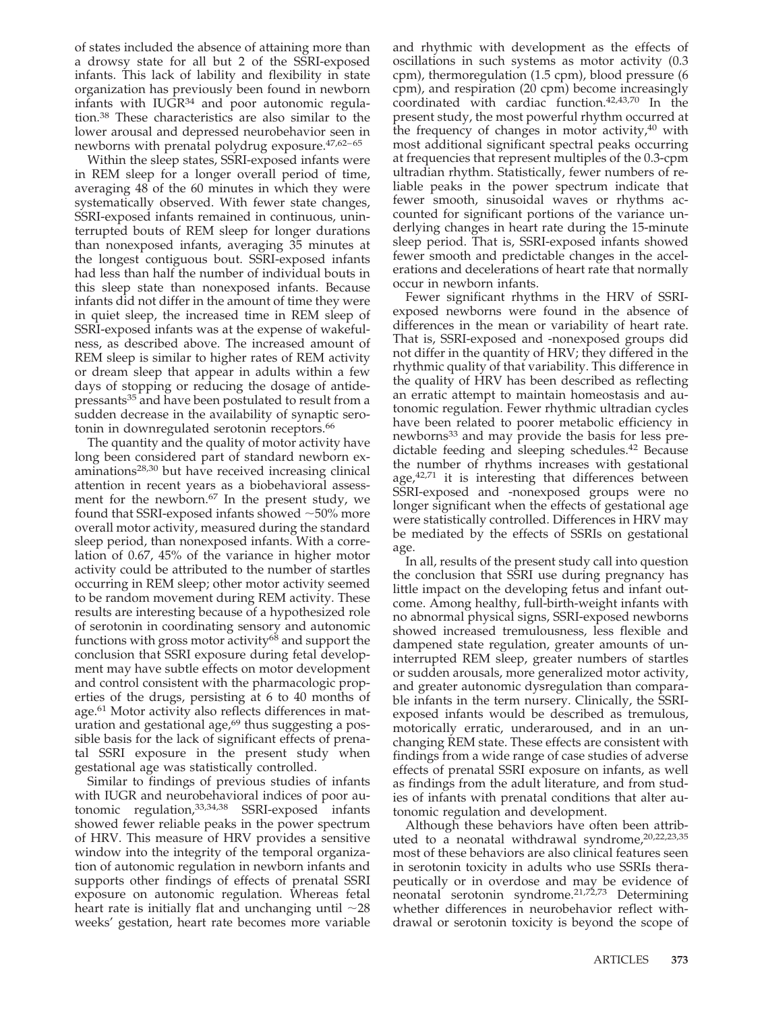of states included the absence of attaining more than a drowsy state for all but 2 of the SSRI-exposed infants. This lack of lability and flexibility in state organization has previously been found in newborn infants with  $IUGR^{34}$  and poor autonomic regulation.38 These characteristics are also similar to the lower arousal and depressed neurobehavior seen in newborns with prenatal polydrug exposure.47,62–65

Within the sleep states, SSRI-exposed infants were in REM sleep for a longer overall period of time, averaging 48 of the 60 minutes in which they were systematically observed. With fewer state changes, SSRI-exposed infants remained in continuous, uninterrupted bouts of REM sleep for longer durations than nonexposed infants, averaging 35 minutes at the longest contiguous bout. SSRI-exposed infants had less than half the number of individual bouts in this sleep state than nonexposed infants. Because infants did not differ in the amount of time they were in quiet sleep, the increased time in REM sleep of SSRI-exposed infants was at the expense of wakefulness, as described above. The increased amount of REM sleep is similar to higher rates of REM activity or dream sleep that appear in adults within a few days of stopping or reducing the dosage of antidepressants35 and have been postulated to result from a sudden decrease in the availability of synaptic serotonin in downregulated serotonin receptors.<sup>66</sup>

The quantity and the quality of motor activity have long been considered part of standard newborn examinations28,30 but have received increasing clinical attention in recent years as a biobehavioral assessment for the newborn.<sup>67</sup> In the present study, we found that SSRI-exposed infants showed  $\sim$  50% more overall motor activity, measured during the standard sleep period, than nonexposed infants. With a correlation of 0.67, 45% of the variance in higher motor activity could be attributed to the number of startles occurring in REM sleep; other motor activity seemed to be random movement during REM activity. These results are interesting because of a hypothesized role of serotonin in coordinating sensory and autonomic functions with gross motor activity<sup>68</sup> and support the conclusion that SSRI exposure during fetal development may have subtle effects on motor development and control consistent with the pharmacologic properties of the drugs, persisting at 6 to 40 months of age.61 Motor activity also reflects differences in maturation and gestational age, $69$  thus suggesting a possible basis for the lack of significant effects of prenatal SSRI exposure in the present study when gestational age was statistically controlled.

Similar to findings of previous studies of infants with IUGR and neurobehavioral indices of poor autonomic regulation,33,34,38 SSRI-exposed infants showed fewer reliable peaks in the power spectrum of HRV. This measure of HRV provides a sensitive window into the integrity of the temporal organization of autonomic regulation in newborn infants and supports other findings of effects of prenatal SSRI exposure on autonomic regulation. Whereas fetal heart rate is initially flat and unchanging until  $\sim$ 28 weeks' gestation, heart rate becomes more variable and rhythmic with development as the effects of oscillations in such systems as motor activity (0.3 cpm), thermoregulation (1.5 cpm), blood pressure (6 cpm), and respiration (20 cpm) become increasingly coordinated with cardiac function.42,43,70 In the present study, the most powerful rhythm occurred at the frequency of changes in motor activity, $40$  with most additional significant spectral peaks occurring at frequencies that represent multiples of the 0.3-cpm ultradian rhythm. Statistically, fewer numbers of reliable peaks in the power spectrum indicate that fewer smooth, sinusoidal waves or rhythms accounted for significant portions of the variance underlying changes in heart rate during the 15-minute sleep period. That is, SSRI-exposed infants showed fewer smooth and predictable changes in the accelerations and decelerations of heart rate that normally occur in newborn infants.

Fewer significant rhythms in the HRV of SSRIexposed newborns were found in the absence of differences in the mean or variability of heart rate. That is, SSRI-exposed and -nonexposed groups did not differ in the quantity of HRV; they differed in the rhythmic quality of that variability. This difference in the quality of HRV has been described as reflecting an erratic attempt to maintain homeostasis and autonomic regulation. Fewer rhythmic ultradian cycles have been related to poorer metabolic efficiency in newborns<sup>33</sup> and may provide the basis for less predictable feeding and sleeping schedules.<sup>42</sup> Because the number of rhythms increases with gestational age, $42,71$  it is interesting that differences between SSRI-exposed and -nonexposed groups were no longer significant when the effects of gestational age were statistically controlled. Differences in HRV may be mediated by the effects of SSRIs on gestational age.

In all, results of the present study call into question the conclusion that SSRI use during pregnancy has little impact on the developing fetus and infant outcome. Among healthy, full-birth-weight infants with no abnormal physical signs, SSRI-exposed newborns showed increased tremulousness, less flexible and dampened state regulation, greater amounts of uninterrupted REM sleep, greater numbers of startles or sudden arousals, more generalized motor activity, and greater autonomic dysregulation than comparable infants in the term nursery. Clinically, the SSRIexposed infants would be described as tremulous, motorically erratic, underaroused, and in an unchanging REM state. These effects are consistent with findings from a wide range of case studies of adverse effects of prenatal SSRI exposure on infants, as well as findings from the adult literature, and from studies of infants with prenatal conditions that alter autonomic regulation and development.

Although these behaviors have often been attributed to a neonatal withdrawal syndrome,<sup>20,22,23,35</sup> most of these behaviors are also clinical features seen in serotonin toxicity in adults who use SSRIs therapeutically or in overdose and may be evidence of neonatal serotonin syndrome.<sup>21,72,73</sup> Determining whether differences in neurobehavior reflect withdrawal or serotonin toxicity is beyond the scope of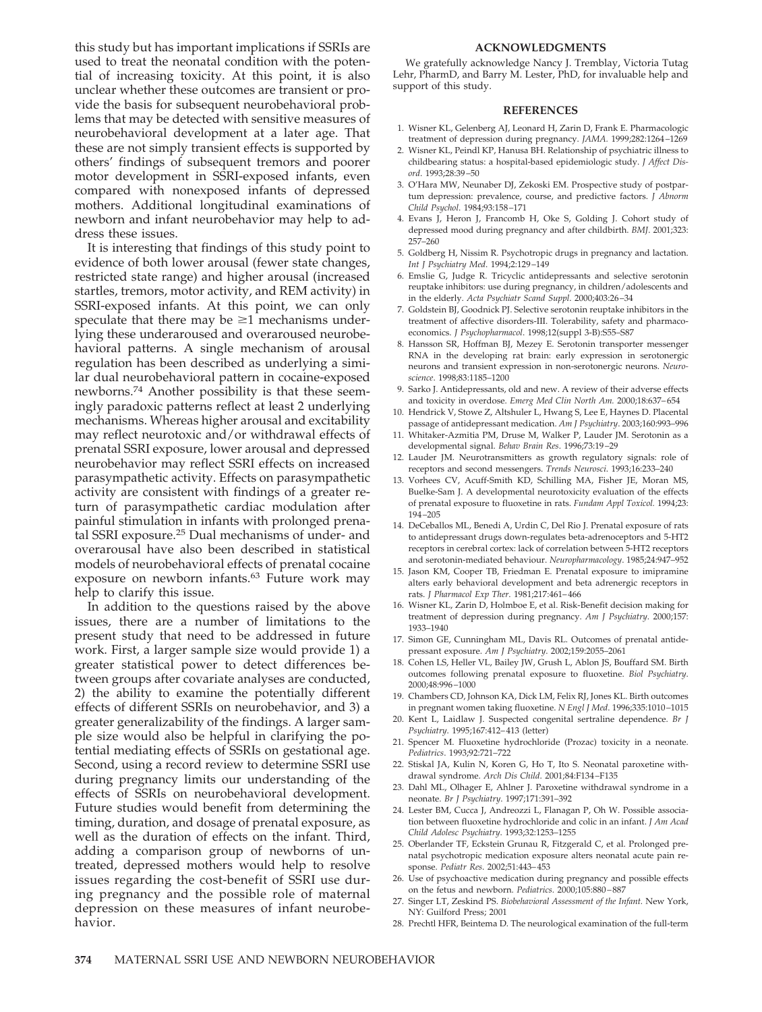this study but has important implications if SSRIs are used to treat the neonatal condition with the potential of increasing toxicity. At this point, it is also unclear whether these outcomes are transient or provide the basis for subsequent neurobehavioral problems that may be detected with sensitive measures of neurobehavioral development at a later age. That these are not simply transient effects is supported by others' findings of subsequent tremors and poorer motor development in SSRI-exposed infants, even compared with nonexposed infants of depressed mothers. Additional longitudinal examinations of newborn and infant neurobehavior may help to address these issues.

It is interesting that findings of this study point to evidence of both lower arousal (fewer state changes, restricted state range) and higher arousal (increased startles, tremors, motor activity, and REM activity) in SSRI-exposed infants. At this point, we can only speculate that there may be  $\geq 1$  mechanisms underlying these underaroused and overaroused neurobehavioral patterns. A single mechanism of arousal regulation has been described as underlying a similar dual neurobehavioral pattern in cocaine-exposed newborns.74 Another possibility is that these seemingly paradoxic patterns reflect at least 2 underlying mechanisms. Whereas higher arousal and excitability may reflect neurotoxic and/or withdrawal effects of prenatal SSRI exposure, lower arousal and depressed neurobehavior may reflect SSRI effects on increased parasympathetic activity. Effects on parasympathetic activity are consistent with findings of a greater return of parasympathetic cardiac modulation after painful stimulation in infants with prolonged prenatal SSRI exposure.25 Dual mechanisms of under- and overarousal have also been described in statistical models of neurobehavioral effects of prenatal cocaine exposure on newborn infants.<sup>63</sup> Future work may help to clarify this issue.

In addition to the questions raised by the above issues, there are a number of limitations to the present study that need to be addressed in future work. First, a larger sample size would provide 1) a greater statistical power to detect differences between groups after covariate analyses are conducted, 2) the ability to examine the potentially different effects of different SSRIs on neurobehavior, and 3) a greater generalizability of the findings. A larger sample size would also be helpful in clarifying the potential mediating effects of SSRIs on gestational age. Second, using a record review to determine SSRI use during pregnancy limits our understanding of the effects of SSRIs on neurobehavioral development. Future studies would benefit from determining the timing, duration, and dosage of prenatal exposure, as well as the duration of effects on the infant. Third, adding a comparison group of newborns of untreated, depressed mothers would help to resolve issues regarding the cost-benefit of SSRI use during pregnancy and the possible role of maternal depression on these measures of infant neurobehavior.

## **ACKNOWLEDGMENTS**

We gratefully acknowledge Nancy J. Tremblay, Victoria Tutag Lehr, PharmD, and Barry M. Lester, PhD, for invaluable help and support of this study.

# **REFERENCES**

- 1. Wisner KL, Gelenberg AJ, Leonard H, Zarin D, Frank E. Pharmacologic treatment of depression during pregnancy. *JAMA.* 1999;282:1264–1269
- 2. Wisner KL, Peindl KP, Hanusa BH. Relationship of psychiatric illness to childbearing status: a hospital-based epidemiologic study. *J Affect Disord*. 1993;28:39–50
- 3. O'Hara MW, Neunaber DJ, Zekoski EM. Prospective study of postpartum depression: prevalence, course, and predictive factors. *J Abnorm Child Psychol*. 1984;93:158–171
- 4. Evans J, Heron J, Francomb H, Oke S, Golding J. Cohort study of depressed mood during pregnancy and after childbirth. *BMJ*. 2001;323: 257–260
- 5. Goldberg H, Nissim R. Psychotropic drugs in pregnancy and lactation. *Int J Psychiatry Med*. 1994;2:129–149
- 6. Emslie G, Judge R. Tricyclic antidepressants and selective serotonin reuptake inhibitors: use during pregnancy, in children/adolescents and in the elderly. *Acta Psychiatr Scand Suppl*. 2000;403:26–34
- 7. Goldstein BJ, Goodnick PJ. Selective serotonin reuptake inhibitors in the treatment of affective disorders-III. Tolerability, safety and pharmacoeconomics. *J Psychopharmacol*. 1998;12(suppl 3-B):S55–S87
- 8. Hansson SR, Hoffman BJ, Mezey E. Serotonin transporter messenger RNA in the developing rat brain: early expression in serotonergic neurons and transient expression in non-serotonergic neurons. *Neuroscience*. 1998;83:1185–1200
- 9. Sarko J. Antidepressants, old and new. A review of their adverse effects and toxicity in overdose. *Emerg Med Clin North Am.* 2000;18:637–654
- 10. Hendrick V, Stowe Z, Altshuler L, Hwang S, Lee E, Haynes D. Placental passage of antidepressant medication. *Am J Psychiatry*. 2003;160:993–996
- 11. Whitaker-Azmitia PM, Druse M, Walker P, Lauder JM. Serotonin as a developmental signal. *Behav Brain Res*. 1996;73:19–29
- 12. Lauder JM. Neurotransmitters as growth regulatory signals: role of receptors and second messengers. *Trends Neurosci*. 1993;16:233–240
- 13. Vorhees CV, Acuff-Smith KD, Schilling MA, Fisher JE, Moran MS, Buelke-Sam J. A developmental neurotoxicity evaluation of the effects of prenatal exposure to fluoxetine in rats. *Fundam Appl Toxicol.* 1994;23: 194–205
- 14. DeCeballos ML, Benedi A, Urdin C, Del Rio J. Prenatal exposure of rats to antidepressant drugs down-regulates beta-adrenoceptors and 5-HT2 receptors in cerebral cortex: lack of correlation between 5-HT2 receptors and serotonin-mediated behaviour. *Neuropharmacology*. 1985;24:947–952
- 15. Jason KM, Cooper TB, Friedman E. Prenatal exposure to imipramine alters early behavioral development and beta adrenergic receptors in rats. *J Pharmacol Exp Ther*. 1981;217:461–466
- 16. Wisner KL, Zarin D, Holmboe E, et al. Risk-Benefit decision making for treatment of depression during pregnancy. *Am J Psychiatry*. 2000;157: 1933–1940
- 17. Simon GE, Cunningham ML, Davis RL. Outcomes of prenatal antidepressant exposure. *Am J Psychiatry*. 2002;159:2055–2061
- 18. Cohen LS, Heller VL, Bailey JW, Grush L, Ablon JS, Bouffard SM. Birth outcomes following prenatal exposure to fluoxetine. *Biol Psychiatry*. 2000;48:996–1000
- 19. Chambers CD, Johnson KA, Dick LM, Felix RJ, Jones KL. Birth outcomes in pregnant women taking fluoxetine. *N Engl J Med*. 1996;335:1010–1015
- 20. Kent L, Laidlaw J. Suspected congenital sertraline dependence. *Br J Psychiatry*. 1995;167:412–413 (letter)
- 21. Spencer M. Fluoxetine hydrochloride (Prozac) toxicity in a neonate. *Pediatrics*. 1993;92:721–722
- 22. Stiskal JA, Kulin N, Koren G, Ho T, Ito S. Neonatal paroxetine withdrawal syndrome. *Arch Dis Child*. 2001;84:F134–F135
- 23. Dahl ML, Olhager E, Ahlner J. Paroxetine withdrawal syndrome in a neonate. *Br J Psychiatry*. 1997;171:391–392
- 24. Lester BM, Cucca J, Andreozzi L, Flanagan P, Oh W. Possible association between fluoxetine hydrochloride and colic in an infant. *J Am Acad Child Adolesc Psychiatry*. 1993;32:1253–1255
- 25. Oberlander TF, Eckstein Grunau R, Fitzgerald C, et al. Prolonged prenatal psychotropic medication exposure alters neonatal acute pain response. *Pediatr Res*. 2002;51:443–453
- 26. Use of psychoactive medication during pregnancy and possible effects on the fetus and newborn. *Pediatrics.* 2000;105:880–887
- 27. Singer LT, Zeskind PS. *Biobehavioral Assessment of the Infant.* New York, NY: Guilford Press; 2001
- 28. Prechtl HFR, Beintema D. The neurological examination of the full-term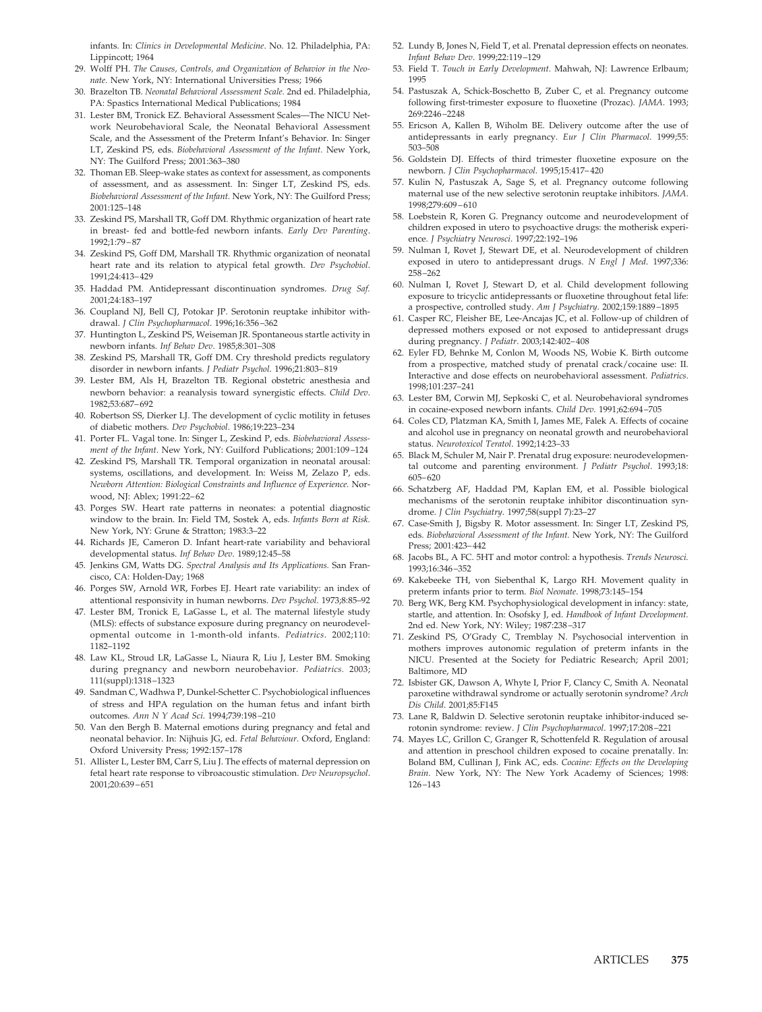infants. In: *Clinics in Developmental Medicine*. No. 12. Philadelphia, PA: Lippincott; 1964

- 29. Wolff PH. *The Causes, Controls, and Organization of Behavior in the Neonate.* New York, NY: International Universities Press; 1966
- 30. Brazelton TB. *Neonatal Behavioral Assessment Scale.* 2nd ed. Philadelphia, PA: Spastics International Medical Publications; 1984
- 31. Lester BM, Tronick EZ. Behavioral Assessment Scales—The NICU Network Neurobehavioral Scale, the Neonatal Behavioral Assessment Scale, and the Assessment of the Preterm Infant's Behavior. In: Singer LT, Zeskind PS, eds. *Biobehavioral Assessment of the Infant.* New York, NY: The Guilford Press; 2001:363–380
- 32. Thoman EB. Sleep-wake states as context for assessment, as components of assessment, and as assessment. In: Singer LT, Zeskind PS, eds. *Biobehavioral Assessment of the Infant.* New York, NY: The Guilford Press; 2001:125–148
- 33. Zeskind PS, Marshall TR, Goff DM. Rhythmic organization of heart rate in breast- fed and bottle-fed newborn infants. *Early Dev Parenting*. 1992;1:79–87
- 34. Zeskind PS, Goff DM, Marshall TR. Rhythmic organization of neonatal heart rate and its relation to atypical fetal growth. *Dev Psychobiol*. 1991;24:413–429
- 35. Haddad PM. Antidepressant discontinuation syndromes. *Drug Saf. 2*001;24:183–197
- 36. Coupland NJ, Bell CJ, Potokar JP. Serotonin reuptake inhibitor withdrawal. *J Clin Psychopharmacol*. 1996;16:356–362
- 37. Huntington L, Zeskind PS, Weiseman JR. Spontaneous startle activity in newborn infants. *Inf Behav Dev*. 1985;8:301–308
- 38. Zeskind PS, Marshall TR, Goff DM. Cry threshold predicts regulatory disorder in newborn infants. *J Pediatr Psychol*. 1996;21:803–819
- 39. Lester BM, Als H, Brazelton TB. Regional obstetric anesthesia and newborn behavior: a reanalysis toward synergistic effects. *Child Dev*. 1982;53:687–692
- 40. Robertson SS, Dierker LJ. The development of cyclic motility in fetuses of diabetic mothers. *Dev Psychobiol*. 1986;19:223–234
- 41. Porter FL. Vagal tone. In: Singer L, Zeskind P, eds. *Biobehavioral Assessment of the Infant.* New York, NY: Guilford Publications; 2001:109–124
- 42. Zeskind PS, Marshall TR. Temporal organization in neonatal arousal: systems, oscillations, and development. In: Weiss M, Zelazo P, eds. *Newborn Attention: Biological Constraints and Influence of Experience.* Norwood, NJ: Ablex; 1991:22–62
- 43. Porges SW. Heart rate patterns in neonates: a potential diagnostic window to the brain. In: Field TM, Sostek A, eds. *Infants Born at Risk.* New York, NY: Grune & Stratton; 1983:3–22
- 44. Richards JE, Cameron D. Infant heart-rate variability and behavioral developmental status. *Inf Behav Dev*. 1989;12:45–58
- 45. Jenkins GM, Watts DG. *Spectral Analysis and Its Applications.* San Francisco, CA: Holden-Day; 1968
- 46. Porges SW, Arnold WR, Forbes EJ. Heart rate variability: an index of attentional responsivity in human newborns. *Dev Psychol*. 1973;8:85–92
- 47. Lester BM, Tronick E, LaGasse L, et al. The maternal lifestyle study (MLS): effects of substance exposure during pregnancy on neurodevelopmental outcome in 1-month-old infants. *Pediatrics*. 2002;110: 1182–1192
- 48. Law KL, Stroud LR, LaGasse L, Niaura R, Liu J, Lester BM. Smoking during pregnancy and newborn neurobehavior. *Pediatrics.* 2003; 111(suppl):1318–1323
- 49. Sandman C, Wadhwa P, Dunkel-Schetter C. Psychobiological influences of stress and HPA regulation on the human fetus and infant birth outcomes. *Ann N Y Acad Sci*. 1994;739:198–210
- 50. Van den Bergh B. Maternal emotions during pregnancy and fetal and neonatal behavior. In: Nijhuis JG, ed. *Fetal Behaviour.* Oxford, England: Oxford University Press; 1992:157–178
- 51. Allister L, Lester BM, Carr S, Liu J. The effects of maternal depression on fetal heart rate response to vibroacoustic stimulation. *Dev Neuropsychol*. 2001;20:639–651
- 52. Lundy B, Jones N, Field T, et al. Prenatal depression effects on neonates. *Infant Behav Dev*. 1999;22:119–129
- 53. Field T. *Touch in Early Development.* Mahwah, NJ: Lawrence Erlbaum; 1995
- 54. Pastuszak A, Schick-Boschetto B, Zuber C, et al. Pregnancy outcome following first-trimester exposure to fluoxetine (Prozac). *JAMA*. 1993; 269:2246–2248
- 55. Ericson A, Kallen B, Wiholm BE. Delivery outcome after the use of antidepressants in early pregnancy. *Eur J Clin Pharmacol*. 1999;55: 503–508
- 56. Goldstein DJ. Effects of third trimester fluoxetine exposure on the newborn. *J Clin Psychopharmacol*. 1995;15:417–420
- 57. Kulin N, Pastuszak A, Sage S, et al. Pregnancy outcome following maternal use of the new selective serotonin reuptake inhibitors. *JAMA*. 1998;279:609–610
- 58. Loebstein R, Koren G. Pregnancy outcome and neurodevelopment of children exposed in utero to psychoactive drugs: the motherisk experience. *J Psychiatry Neurosci*. 1997;22:192–196
- 59. Nulman I, Rovet J, Stewart DE, et al. Neurodevelopment of children exposed in utero to antidepressant drugs. *N Engl J Med*. 1997;336: 258–262
- 60. Nulman I, Rovet J, Stewart D, et al. Child development following exposure to tricyclic antidepressants or fluoxetine throughout fetal life: a prospective, controlled study. *Am J Psychiatry*. 2002;159:1889–1895
- 61. Casper RC, Fleisher BE, Lee-Ancajas JC, et al. Follow-up of children of depressed mothers exposed or not exposed to antidepressant drugs during pregnancy. *J Pediatr*. 2003;142:402–408
- 62. Eyler FD, Behnke M, Conlon M, Woods NS, Wobie K. Birth outcome from a prospective, matched study of prenatal crack/cocaine use: II. Interactive and dose effects on neurobehavioral assessment. *Pediatrics*. 1998;101:237–241
- 63. Lester BM, Corwin MJ, Sepkoski C, et al. Neurobehavioral syndromes in cocaine-exposed newborn infants. *Child Dev*. 1991;62:694–705
- 64. Coles CD, Platzman KA, Smith I, James ME, Falek A. Effects of cocaine and alcohol use in pregnancy on neonatal growth and neurobehavioral status. *Neurotoxicol Teratol*. 1992;14:23–33
- 65. Black M, Schuler M, Nair P. Prenatal drug exposure: neurodevelopmental outcome and parenting environment. *J Pediatr Psychol*. 1993;18: 605–620
- 66. Schatzberg AF, Haddad PM, Kaplan EM, et al. Possible biological mechanisms of the serotonin reuptake inhibitor discontinuation syndrome. *J Clin Psychiatry*. 1997;58(suppl 7):23–27
- 67. Case-Smith J, Bigsby R. Motor assessment. In: Singer LT, Zeskind PS, eds. *Biobehavioral Assessment of the Infant.* New York, NY: The Guilford Press; 2001:423–442
- 68. Jacobs BL, A FC. 5HT and motor control: a hypothesis. *Trends Neurosci.* 1993;16:346–352
- 69. Kakebeeke TH, von Siebenthal K, Largo RH. Movement quality in preterm infants prior to term. *Biol Neonate*. 1998;73:145–154
- 70. Berg WK, Berg KM. Psychophysiological development in infancy: state, startle, and attention. In: Osofsky J, ed. *Handbook of Infant Development.* 2nd ed. New York, NY: Wiley; 1987:238–317
- 71. Zeskind PS, O'Grady C, Tremblay N. Psychosocial intervention in mothers improves autonomic regulation of preterm infants in the NICU. Presented at the Society for Pediatric Research; April 2001; Baltimore, MD
- 72. Isbister GK, Dawson A, Whyte I, Prior F, Clancy C, Smith A. Neonatal paroxetine withdrawal syndrome or actually serotonin syndrome? *Arch Dis Child*. 2001;85:F145
- 73. Lane R, Baldwin D. Selective serotonin reuptake inhibitor-induced serotonin syndrome: review. *J Clin Psychopharmacol*. 1997;17:208–221
- 74. Mayes LC, Grillon C, Granger R, Schottenfeld R. Regulation of arousal and attention in preschool children exposed to cocaine prenatally. In: Boland BM, Cullinan J, Fink AC, eds. *Cocaine: Effects on the Developing Brain.* New York, NY: The New York Academy of Sciences; 1998: 126–143